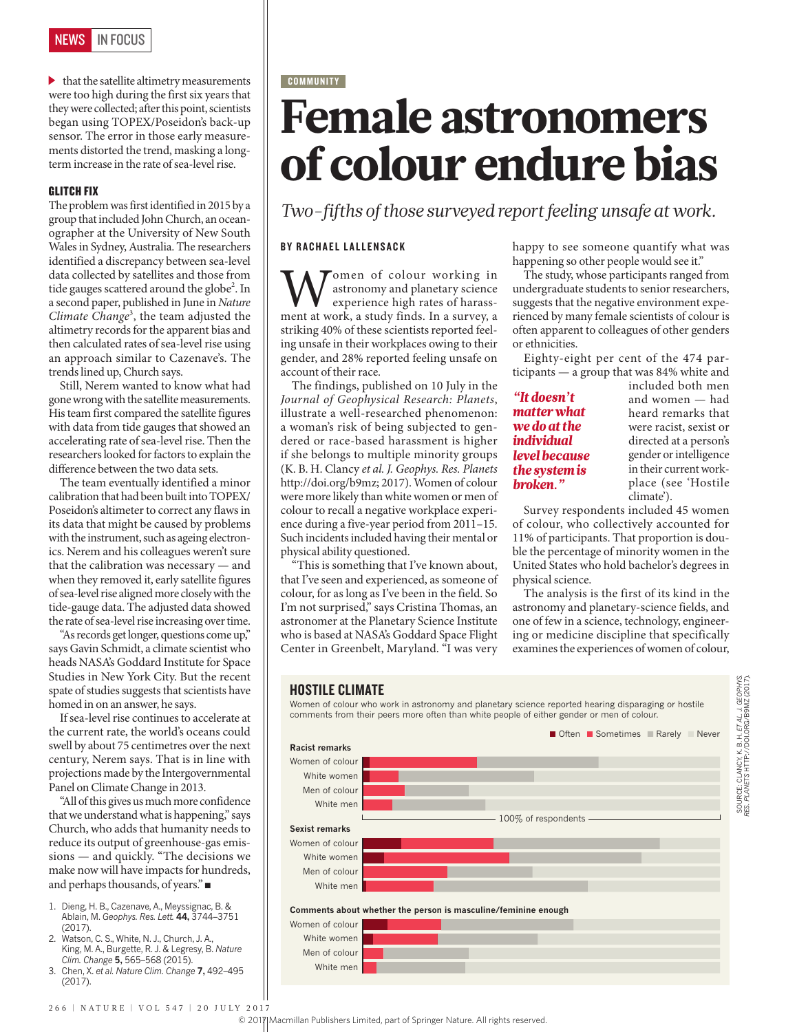$\blacktriangleright$  that the satellite altimetry measurements were too high during the first six years that they were collected; after this point, scientists began using TOPEX/Poseidon's back-up sensor. The error in those early measurements distorted the trend, masking a longterm increase in the rate of sea-level rise.

## GLITCH FIX

The problem was first identified in 2015 by a group that included John Church, an oceanographer at the University of New South Wales in Sydney, Australia. The researchers identified a discrepancy between sea-level data collected by satellites and those from tide gauges scattered around the globe<sup>2</sup>. In a second paper, published in June in *Nature Climate Change*<sup>3</sup> , the team adjusted the altimetry records for the apparent bias and then calculated rates of sea-level rise using an approach similar to Cazenave's. The trends lined up, Church says.

Still, Nerem wanted to know what had gone wrong with the satellite measurements. His team first compared the satellite figures with data from tide gauges that showed an accelerating rate of sea-level rise. Then the researchers looked for factors to explain the difference between the two data sets.

The team eventually identified a minor calibration that had been built into TOPEX/ Poseidon's altimeter to correct any flaws in its data that might be caused by problems with the instrument, such as ageing electronics. Nerem and his colleagues weren't sure that the calibration was necessary — and when they removed it, early satellite figures of sea-level rise aligned more closely with the tide-gauge data. The adjusted data showed the rate of sea-level rise increasing over time.

"As records get longer, questions come up," says Gavin Schmidt, a climate scientist who heads NASA's Goddard Institute for Space Studies in New York City. But the recent spate of studies suggests that scientists have homed in on an answer, he says.

If sea-level rise continues to accelerate at the current rate, the world's oceans could swell by about 75 centimetres over the next century, Nerem says. That is in line with projections made by the Intergovernmental Panel on Climate Change in 2013.

"All of this gives us much more confidence that we understand what is happening," says Church, who adds that humanity needs to reduce its output of greenhouse-gas emissions — and quickly. "The decisions we make now will have impacts for hundreds, and perhaps thousands, of years." ■

- 1. Dieng, H. B., Cazenave, A., Meyssignac, B. & Ablain, M. *Geophys. Res. Lett.* **44,** 3744–3751  $(2017)$
- 2. Watson, C. S., White, N. J., Church, J. A., King, M. A., Burgette, R. J. & Legresy, B. *Nature Clim. Change* **5,** 565–568 (2015).
- 3. Chen, X. *et al. Nature Clim. Change* **7,** 492–495  $(2017)$

## **COMMUNITY**

# Female astronomers of colour endure bias

*Two-fifths of those surveyed report feeling unsafe at work.*

#### BY RACHAEL LALLENSACK

Women of colour working in ment at work, a study finds. In a survey, a astronomy and planetary science experience high rates of harassstriking 40% of these scientists reported feeling unsafe in their workplaces owing to their gender, and 28% reported feeling unsafe on account of their race.

The findings, published on 10 July in the *Journal of Geophysical Research: Planets*, illustrate a well-researched phenomenon: a woman's risk of being subjected to gendered or race-based harassment is higher if she belongs to multiple minority groups (K. B. H. Clancy *et al. J. Geophys. Res. Planets*  http://doi.org/b9mz; 2017). Women of colour were more likely than white women or men of colour to recall a negative workplace experience during a five-year period from 2011–15. Such incidents included having their mental or physical ability questioned.

"This is something that I've known about, that I've seen and experienced, as someone of colour, for as long as I've been in the field. So I'm not surprised," says Cristina Thomas, an astronomer at the Planetary Science Institute who is based at NASA's Goddard Space Flight Center in Greenbelt, Maryland. "I was very

HOSTILE CLIMATE

happy to see someone quantify what was happening so other people would see it."

The study, whose participants ranged from undergraduate students to senior researchers, suggests that the negative environment experienced by many female scientists of colour is often apparent to colleagues of other genders or ethnicities.

Eighty-eight per cent of the 474 participants — a group that was 84% white and

# *"It doesn't matter what we do at the individual level because the system is broken."*

included both men and women — had heard remarks that were racist, sexist or directed at a person's gender or intelligence in their current workplace (see 'Hostile climate').

Survey respondents included 45 women of colour, who collectively accounted for 11% of participants. That proportion is double the percentage of minority women in the United States who hold bachelor's degrees in physical science.

The analysis is the first of its kind in the astronomy and planetary-science fields, and one of few in a science, technology, engineering or medicine discipline that specifically examines the experiences of women of colour,